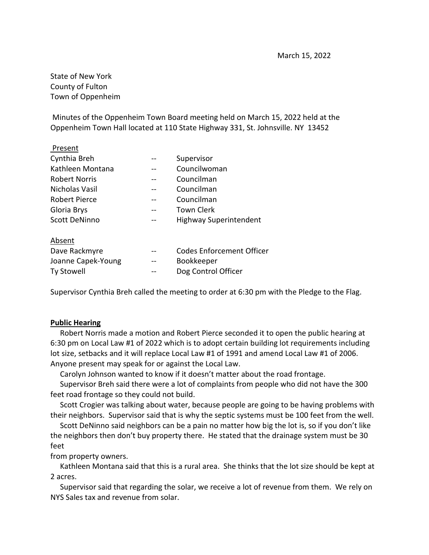State of New York County of Fulton Town of Oppenheim

Minutes of the Oppenheim Town Board meeting held on March 15, 2022 held at the Oppenheim Town Hall located at 110 State Highway 331, St. Johnsville. NY 13452

| Supervisor                       |
|----------------------------------|
| Councilwoman                     |
| Councilman                       |
| Councilman                       |
| Councilman                       |
| <b>Town Clerk</b>                |
| <b>Highway Superintendent</b>    |
|                                  |
| <b>Codes Enforcement Officer</b> |
| Bookkeeper                       |
|                                  |

Ty Stowell **The Control Officer** 

Supervisor Cynthia Breh called the meeting to order at 6:30 pm with the Pledge to the Flag.

## **Public Hearing**

 Robert Norris made a motion and Robert Pierce seconded it to open the public hearing at 6:30 pm on Local Law #1 of 2022 which is to adopt certain building lot requirements including lot size, setbacks and it will replace Local Law #1 of 1991 and amend Local Law #1 of 2006. Anyone present may speak for or against the Local Law.

Carolyn Johnson wanted to know if it doesn't matter about the road frontage.

 Supervisor Breh said there were a lot of complaints from people who did not have the 300 feet road frontage so they could not build.

 Scott Crogier was talking about water, because people are going to be having problems with their neighbors. Supervisor said that is why the septic systems must be 100 feet from the well.

 Scott DeNinno said neighbors can be a pain no matter how big the lot is, so if you don't like the neighbors then don't buy property there. He stated that the drainage system must be 30 feet

from property owners.

 Kathleen Montana said that this is a rural area. She thinks that the lot size should be kept at 2 acres.

 Supervisor said that regarding the solar, we receive a lot of revenue from them. We rely on NYS Sales tax and revenue from solar.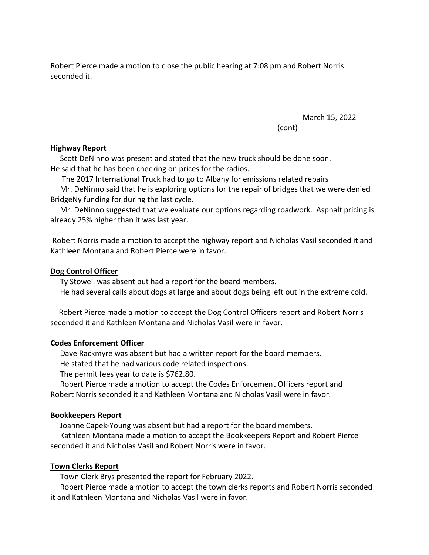Robert Pierce made a motion to close the public hearing at 7:08 pm and Robert Norris seconded it.

March 15, 2022

(cont)

## **Highway Report**

 Scott DeNinno was present and stated that the new truck should be done soon. He said that he has been checking on prices for the radios.

The 2017 International Truck had to go to Albany for emissions related repairs

 Mr. DeNinno said that he is exploring options for the repair of bridges that we were denied BridgeNy funding for during the last cycle.

 Mr. DeNinno suggested that we evaluate our options regarding roadwork. Asphalt pricing is already 25% higher than it was last year.

Robert Norris made a motion to accept the highway report and Nicholas Vasil seconded it and Kathleen Montana and Robert Pierce were in favor.

## **Dog Control Officer**

 Ty Stowell was absent but had a report for the board members. He had several calls about dogs at large and about dogs being left out in the extreme cold.

Robert Pierce made a motion to accept the Dog Control Officers report and Robert Norris seconded it and Kathleen Montana and Nicholas Vasil were in favor.

## **Codes Enforcement Officer**

 Dave Rackmyre was absent but had a written report for the board members. He stated that he had various code related inspections.

The permit fees year to date is \$762.80.

 Robert Pierce made a motion to accept the Codes Enforcement Officers report and Robert Norris seconded it and Kathleen Montana and Nicholas Vasil were in favor.

#### **Bookkeepers Report**

 Joanne Capek-Young was absent but had a report for the board members. Kathleen Montana made a motion to accept the Bookkeepers Report and Robert Pierce seconded it and Nicholas Vasil and Robert Norris were in favor.

### **Town Clerks Report**

Town Clerk Brys presented the report for February 2022.

 Robert Pierce made a motion to accept the town clerks reports and Robert Norris seconded it and Kathleen Montana and Nicholas Vasil were in favor.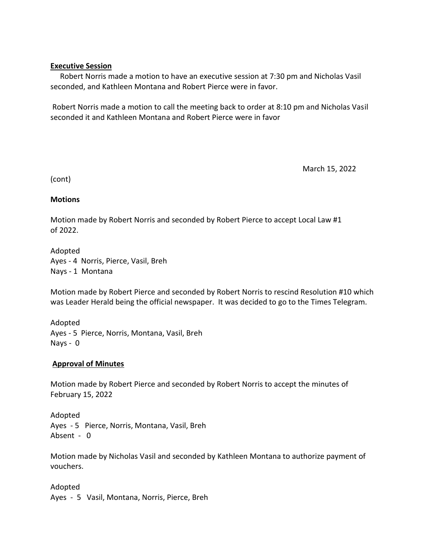## **Executive Session**

 Robert Norris made a motion to have an executive session at 7:30 pm and Nicholas Vasil seconded, and Kathleen Montana and Robert Pierce were in favor.

Robert Norris made a motion to call the meeting back to order at 8:10 pm and Nicholas Vasil seconded it and Kathleen Montana and Robert Pierce were in favor

March 15, 2022

(cont)

## **Motions**

Motion made by Robert Norris and seconded by Robert Pierce to accept Local Law #1 of 2022.

Adopted Ayes - 4 Norris, Pierce, Vasil, Breh Nays - 1 Montana

Motion made by Robert Pierce and seconded by Robert Norris to rescind Resolution #10 which was Leader Herald being the official newspaper. It was decided to go to the Times Telegram.

Adopted Ayes - 5 Pierce, Norris, Montana, Vasil, Breh Nays - 0

# **Approval of Minutes**

Motion made by Robert Pierce and seconded by Robert Norris to accept the minutes of February 15, 2022

Adopted Ayes - 5 Pierce, Norris, Montana, Vasil, Breh Absent - 0

Motion made by Nicholas Vasil and seconded by Kathleen Montana to authorize payment of vouchers.

Adopted Ayes - 5 Vasil, Montana, Norris, Pierce, Breh